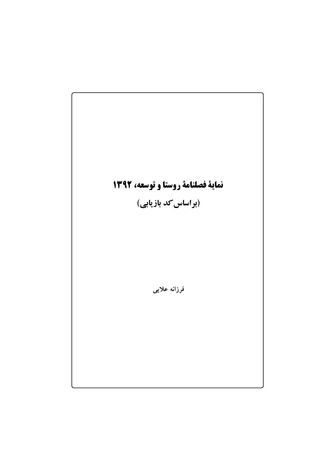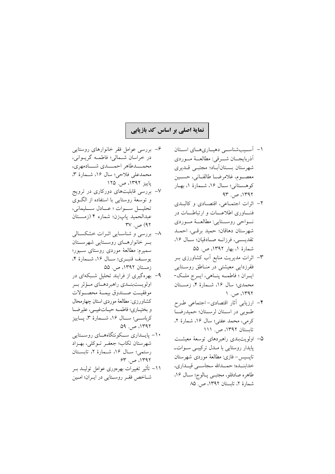## نمایهٔ اصلی بر اساس کد بازیابی

- ۱- آسسیبشناسبی دهیماریههای استان آذربايجــان شـــرقى: مطالعــهٔ مــوردى شهرستان بستانآباد؛ مجتبي قلديري معصوم، غلامرضا طالقياني، حسين كوهستاني؛ سال ١۶، شمارة ١، بهار  $94^\circ$ ، ص. ۹۳
- ۲– اثرات اجتماعی، اقتصادی و کالبـدی فنساوری اطلاعسات و ارتباطسات در نواحي روستايي: مطالعــهٔ مـوردي شهرستان دهاقان؛ حمید برقبی، احملد تقديسي، فرزانـه صـادقيان؛ سـال ١۶، شمارهٔ ۱، بهار ۱۳۹۲، ص. ۵۵
- ۳– اثرات مدیریت منابع اَب کشاورزی بــر فقرزدایی معیشتی در مناطق روستایی ايــران ؛ فاطمـــه پنــاهي، ايــرج ملــک-محمدي؛ سال ١۶، شـمارهٔ ۴، زمسـتان  $\Lambda$  1۳۹۲، ص. ۱
- ۴– ارزیابی آثار اقتصادی-اجتماعی طـرح طوبي در استان لرستان؛ حميدرضا كرمي، محمد عفتي؛ سال ١۶، شمارة ٢، تابستان ١٣٩٢، ص. ١١١
- ۵– اولویتبندی راهبردهای توسعهٔ معیشت پایدار روستایی با مـدل ترکیبے سـواتـ تاپسیس- فازی: مطالعهٔ موردی شهرستان خدابنــده؛ حمــدالله سجاســـي قيــداري، طاهره صادقلو، مجتبـي پـالوج؛ سـال ۱۶، شمارهٔ ۲، تابستان ۱۳۹۲، ص. ۸۵
- ۶– بررسی عوامل فقر خانوارهای روستایی در خراسان شـمالي؛ فاطمـه گريـواني، محمــــدطاهر احمــــدى شــــادمهرى، محمدعلى فلاحي؛ سال ١۶، شـمارة ٣، یاییز ۱۳۹۲، ص. ۱۲۵
- ۷– بررسی قابلیتهای دورکاری در ترویج و توسعهٔ روستایی با استفاده از الگوی تحليل سوات؛ عبادل سليماني، عبدالحميد يابزن؛ شماره ۴ (زمستان  $\Gamma V$   $\rightarrow$  (97
- ٨- بررسی و شناسایی اثـرات خشکسـالی بسر خانوارهسای روسستایی شهرسستان سميرم: مطالعة موردي روستاي سـيور؛ يوسف قنبوي؛ سال ١۶، شمارة ۴، زمستان ١٣٩٢، ص. ٥٥
- ۹- پهرهگیری از فرایند تحلیل شبکهای در اولويــتبنــدي راهبردهــاي مــؤثر بــر موفقيت صندوق بيمة محصولات كشاورزي: مطالعهٔ موردي استان چهارمحال و بختياري؛ فاطمـه حيـاتغيبـي، عليرضـا کرباسے؛ سال ۱۶، شــمارۂ ۳، يــاييز  $09.991.997$
- ۱۰- پایسداری سکونتگاههای روستایی شهرستان تكاب؛ جعف توكلي، بهـزاد رستمي؛ سـال ١۶، شـمارهٔ ٢، تابسـتان  $ST_{1,1} \neq 0$ ۱۳۹۲
- ۱۱– تأثیر تغییرات بهرەوری عوامل تولیــد بــر شاخص فقر روستايي در ايـران؛ امـين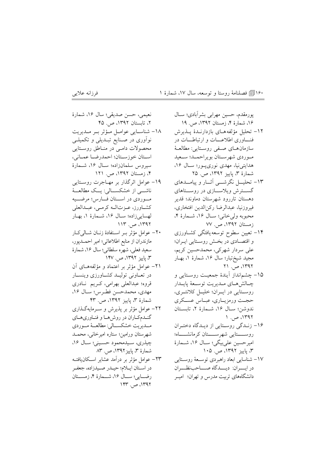۱۶۰[آی فصلنامهٔ روستا و توسعه، سال ۱۷، شمارهٔ ۱

۱۶، شمارهٔ ۴، زمستان ۱۳۹۲، ص. ۱۹

شمارهٔ ۳، پاییز ۱۳۹۲، ص. ۲۵

زمستان ۱۳۹۲، ص. ۷۷

 $11.997$ ، ص. ۲۱

 $1.47$ ، ص. ١

۳، یاییز ۱۳۹۲، ص. ۱۰۵

دانشگاههای تربیت مدرس و تهران؛ امیــر

فرزانه علايبي

نعيمي، حسن صديقي؛ سال ١۶، شمارة يورمقدم، حسين مهرابي بشر آبادي؛ ســال ٢، تابستان ١٣٩٢، ص. ۴۵ ١٨- شناسايي عوامل مؤثر به ملديريت ١٢– تحليل مؤلفههـاي بازدارنـدة يـذيرش نوآوري در صـنايع تبـديلي و تكميلــي فنساوری اطلاعسات و ارتباطسات در محصولات دامى در مناطق روستايي سازمان هـاي صـفي روسـتايي: مطالعـهٔ استان خوزستان؛ احمدرضا عماني، موردي شهرستان بويراحمله؛ سعيد سيروس سلمانزاده؛ سـال ١۶، شـمارة هدایتی نیا، مهدی نوری پور؛ سال ۱۶، ۴، زمستان ۱۳۹۲، ص. ۱۲۱ ۱۹– عوامل اثرگذار بر مهـاجرت روسـتايي ۱۳– تحلیـــل نگرشــــی آثـــار و پیامــــدهای ناشب از خشکسسالی: پسک مطالعےهٔ گست ش ویلاسازی در روستاهای موردي در استان فارس؛ مرضيه دهستان تاررود شهرستان دماوند؛ قدير كشاورز، عـزتالـه كرمـى، عبـدالعلى فيروزنيا، عبدالرضا ركن|لدين افتخاري، لهساییزاده؛ سال ۱۶، شـمارهٔ ۱، بهـار محبوبه ولي خاني؛ سـال ١۶، شـمارة ۴،  $117.$ ص. ۱۳۹۲ ۲۰– عوامل مؤثر به استفادهٔ زنبان شبالی کبار ۱۴– تعیین سطوح توسعه یافتگی کشـاورزی مازندران از منابع اطلاعاتی؛ امیر احمـدیور، و اقتصـادي در بخـش روسـتايي ايـران؛ سعيد فعلي، شهره سلطاني؛ سال ١۶، شمارة على سردار شهركي، محمدحسين كريم، ۳، پاییز ۱۳۹۲، ص. ۱۴۷ مجيد شيخ تبار؛ سال ١۶، شمارهٔ ١، بهـار ٢١- عوامل مؤثر بر اعتماد و مؤلفههـاي آن در تعــاوني توليــد كشــاورزي وينســار ١۵– چشمانداز آیندهٔ جمعیت روستایی و چـالش&ـاي مــديريت توســعة يايــدار قروه؛ عبدالعلي بهرامي، كريم نادري مهدى، محمدحسن فطرس؛ سـال ١۶، روسـتايي در ايــران؛ خليــل كلانتــرى، شمارهٔ ۳، پاییز ۱۳۹۲، ص. ۴۳ حجمت ورمزيباري، عبياس عسكري ۲۲– عوامل مؤثر بر پذیرش و سـرمایهگـذاری ندوشن؛ سال ١۶، شمارهٔ ٢، تابستان گنــدم كــاران در روش هــا و فنــاوري هــاي مــديريت خشكســالي: مطالعــهٔ مــوردي ۱۶- زنـدگی روستایی از دیـدگاه دختـران روســــتايي شهرســــتان كرمانشــــاه؛ شهرستان ورامين؛ ستاره اميرخاني، محمـد امیر حسین علی بیگی؛ سـال ۱۶، شـمارهٔ چيذري، سيدمحمود حسيني؛ سال ١۶، شمارهٔ ۳، پاییز ۱۳۹۲، ص. ۸۳ ٢٣– عوامل مؤثر بر درآمد عشاير اسكانيافتـه ١٧- شناسايي ابعاد راهبردي توسـعهٔ روسـتايي در ايسـران: ديـــدگاه صــــاحب:ظـــران

در استان ايلام؛ حيـدر صـيدزاده، جعفـر رضايي؛ سال ١۶، شمارة ۴، زمستان  $157^\circ$ ،  $\rightarrow$   $1797^\circ$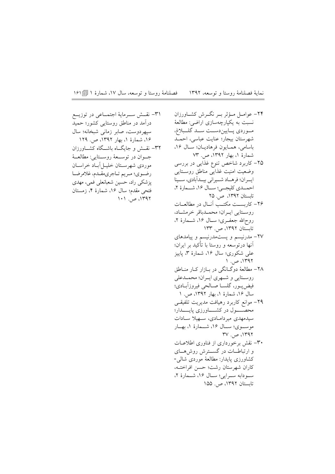فصلنامهٔ روستا و توسعه، سال ۱۷، شمارهٔ ۱ [[| ۱۶۱ نماية فصلنامة روستا و توسعه، ١٣٩٢

> ۲۴– عوامـل مــؤثر بــر نگــرش کشــاورزان نسبت به یکپارچهسازی اراضی: مطالعهٔ مـوردي پــاييندســت ســد گلـــبلاغ، شهرستان بیجار؛ عنایت عباسی، احمــد باسامي، همايون فرهاديان؛ سال ١۶، شمارهٔ ۱، بهار ۱۳۹۲، ص. ۷۳ ۲۵– کاربرد شاخص تنوع غذایی در بررسی وضعيت امنيت غذايبي مناطق روستايبي ايران؛ فرهـاد شـيراني بيـداًبادي، سـينا احمــدي كليجــي؛ ســال ١۶، شــمارة ٢، تابستان ١٣٩٢، ص. ٢٥ ۲۶– كاربســت مكتــب آنــال در مطالعــات روستايي ايبران؛ محملباقر خرمشاد، روح\لله جعفــرى؛ ســال ۱۶، شـــمارهٔ ۲، تابستان ۱۳۹۲، ص. ۱۳۳ ٢٧- مدرنيسم ويستمدرنيسم وييامدهاى آنها درتوسعه و روستا با تأکید بر ایران؛ علمی شکوری؛ سال ۱۶، شمارهٔ ۳، پاییز ۱۳۹۲، ص. ۱ ۲۸– مطالعهٔ دوگـانگی در بـازار کـار منـاطق روستایی و شهری ایران؛ محمـدعلی فيض يــور، گلســا صــالحي فيروزآبــادي؛ سال ۱۶، شمارهٔ ۱، بهار ۱۳۹۲، ص. ۱ ۲۹– موانع کاربرد رهیافت مدیریت تلفیقــی محصــــول در كشــــاورزى پايـــــدار؛ سیدمهدی میردامادی، سهیلا سادات موسـوى؛ سـال ۱۶، شــمارهٔ ۱، بهــار  $\Gamma V$  ,  $\Rightarrow$   $\Gamma$ ۳۰– نقش برخورداری از فناوری اطلاعــات و ارتباطـات در گســترش روشهــای كشاورزى پايدار: مطالعهٔ موردى شالى-كاران شهرستان رشت؛ حسن افراختـه، سودابه سرايي؛ سال ١۶، شمارة ٢، تابستان ۱۳۹۲، ص. ۱۵۵

٣١- نقسش سوماية اجتمـاعي در توزيــع درآمد در مناطق روستایی کشور؛ حمید سيهردوست، صابر زماني شبخانه؛ سال ۱۶، شمارهٔ ۱، بهار ۱۳۹۲، ص. ۱۲۹ ٣٢- نقــش و جايگــاه باشــگاه كشــاورزان جـوان در توســعهٔ روســتايي: مطالعــهٔ موردی شهرستان خلیس آبیاد خراسیان رضوي؛ مريم تـاجري،قـدم، غلامرضـا یزشکی راد، حسین شعبانعلی فمی، مهدی فتحي مقدم؛ سال ١۶، شمارة ۴، زمستان ١٣٩٢، ص. ١٠١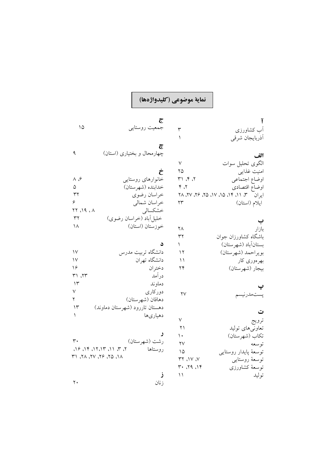## نماية موضوعي (كليدواژهها)

 $\mathbf{r}$  $\setminus$ 

 $\vee$ 

 $\mathbf{Y} \mathbf{Q}$ 

 $Y, Y$ 

 $\mathbf{y}$ 

 $\mathsf{Y}\Lambda$ 

 $\mathbf{r}$ 

 $\bar{\ }$ 

 $\mathsf{Y}\mathsf{V}$ 

 $\Delta$ 

 $\tilde{\epsilon}$ 

 $\tilde{\epsilon}$ 

 $\dot{\tilde{c}}$ 

جمعیت روستایی

\_<br>خانوارهای روستایی

خدابنده (شهرستان)

خراسان رضوي خراسان شمالي

خوزستان (استان)

ر<br>خشکسالی

چهارمحال و بختیاری (استان)

ی<br>خلیل اَباد (خراسان رضوی)

## $\tilde{I}$ .<br>آب کشاورزی أذربايجان شرقي الف الگوی تحلیل سوات رے<br>امنیت غذای<sub>بی</sub>  $\uparrow$  ۲۱ ۴۰ ج اوضاع اجتماعي اوضاع اقتصادى ایران سم ۱۱، ۱۴، ۱۵، ۱۷، ۲۵، ۲۶، ۲۷، ۲۸ ايلام (استان) بازار باشگاه کشاورزان جوان بستانآباد (شهرستان) بويراحمد (شهرستان)

بھرہوری کار

تمدرنيا

تعاون<sub>ی</sub>های تولید

تكاب (شهرستان)

توسعهٔ کشاورزی

توسعهٔ پایدار روستایی ر<br>توسعهٔ روستای<sub>بی</sub>

ت

ترويج

توسعه

توليد

بيجار (شهرستان)

| ۱۲ | دانشگاه تربیت مدرس             |     |
|----|--------------------------------|-----|
| ۱۱ | دانشگاه تهران                  |     |
| ۲۴ | دختر ان                        |     |
|    | در آمد                         | ۲۳، |
|    | دماوند                         |     |
| ۲٧ | دوركاري                        |     |
|    | دهاقان (شهر ستان)              |     |
|    | دهستان تاررود (شهرستان دماوند) |     |
| ٧  | دهياريها                       |     |
| ۲۱ |                                |     |
|    |                                |     |

| ٣.                                                                                                                                                                  | رشت (شهرستان) |
|---------------------------------------------------------------------------------------------------------------------------------------------------------------------|---------------|
| $\Delta$ 19 $\Delta$ 3 $\Delta$ 3 $\Delta$ 3 $\Delta$ 3 $\Delta$ 3 $\Delta$ 3 $\Delta$ 3 $\Delta$ 3 $\Delta$ 3 $\Delta$ 3 $\Delta$ 3 $\Delta$ 3 $\Delta$ 3 $\Delta$ | روستاها       |
| LI 67, 97, V7, LT, 17                                                                                                                                               |               |

 $YY$  או $Y$  $Y \cdot 79.18$ ز  $\setminus$ زنان

 $\Delta$ 

 $\mathsf q$ 

 $\wedge$  of

 $\Delta$ 

 $\tau\tau$ 

 $\mathbf{r}$  $\lambda$ 

 $\mathcal{N}$  $\mathcal{W}$ 

 $\gamma$ 

 $\uparrow\uparrow$  $\gamma$  $\checkmark$ 

 $\mathbf{r}$  $\gamma$ 

 $\bar{1}$ 

 $\gamma$ .

 $YY$   $19.4$ 

 $\epsilon$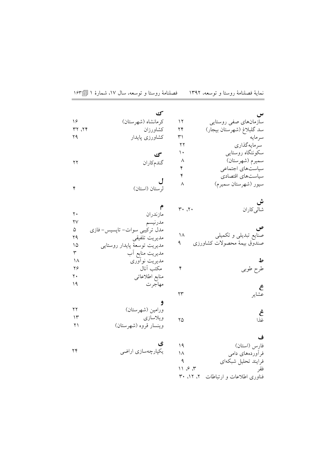|                      | ک                             |                | س                                                          |
|----------------------|-------------------------------|----------------|------------------------------------------------------------|
| ۱۶                   | كرمانشاه (شهرستان)            | ۱۲             | سازمانهای صفی روستایی                                      |
| ۲۲، ۲۲               | كشاورزان                      | ۲۴             | سد گلبلاغ (شهرستان بيجار)                                  |
| ۲۹                   | كشاورزى پايدار                | ٣١             | سر مايه                                                    |
|                      |                               | ۲۲             | سر مايەگذارى                                               |
|                      | گ                             | ١٠             | سکونتگاه روستایی                                           |
| ۲۲                   | گندمكاران                     | ٨              | سميرم (شهرستان)                                            |
|                      |                               | ۴              | سیاستهای اجتماعی                                           |
|                      |                               | ۴              | سياستهاى اقتصادى                                           |
|                      |                               | ٨              | سيور (شهرستان سميرم)                                       |
| ۴                    | لرستان (استان)                |                |                                                            |
|                      |                               |                |                                                            |
|                      |                               | $\mathbf{r}$ . | <b>ش</b><br>شال <sub>ی</sub> کاران                         |
| ٢٠                   | مازندران                      |                |                                                            |
| ۲۷                   | مدرنيسم                       |                |                                                            |
| ۵                    | مدل ترکیبی سوات-تاپسیس-فازی   |                | ص                                                          |
| ۲۹                   | مديريت تلفيقي                 | $\Lambda$      | صنایع تبدیلی و تکمیلی                                      |
| ۱۵                   | مديريت توسعهٔ پايدار روستايي  |                | صندوق بيمةً محصولاتٌ كشاورزى                               |
| $\mathbf{\breve{r}}$ | مديريت منابع أب               |                |                                                            |
| ۱۸                   | مديريت نوأوري                 |                |                                                            |
| ۲۶                   | مكتب آنال                     | ۴              | طرح طوبي                                                   |
| ۲.                   | منابع اطلاعاتي                |                |                                                            |
| ۱۹                   | مهاجرت                        |                |                                                            |
|                      |                               | ۲۳             | <b>ع</b><br>عشایر                                          |
|                      | و                             |                |                                                            |
| ۲۲                   | ورامين (شهرستان)              |                |                                                            |
| ۱۳                   | ويلاسازي                      | ۲۵             | <b>غ</b><br>غذا                                            |
| ۲۱                   | وينسار قروه (شهرستان)         |                |                                                            |
|                      |                               |                |                                                            |
|                      |                               |                | ف                                                          |
| ۲۴                   | <b>ی</b><br>یکپارچهسازی اراضی | 19             | فارس (استان)                                               |
|                      |                               | ۱۸             | فرأوردههاى دامى                                            |
|                      |                               | ٩              | فرايند تحليل شبكهاي                                        |
|                      |                               | 11.97          | فقر                                                        |
|                      |                               |                | فناورى اطلاعات و ارتباطات<br>$\mathsf{r}$ and $\mathsf{r}$ |

نماية فصلنامة روستا و توسعه، ١٣٩٢ فصلنامة روستا و توسعه، سال ١٧، شمارة ١ [[١٤٣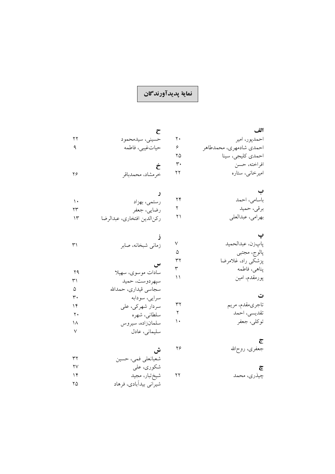## نماية پديدآورندگان

| الف                     |    | ح                           |                        |
|-------------------------|----|-----------------------------|------------------------|
| احمدپور، امير           | ٢٠ | حسيني، سيدمحمود             | ۲۲                     |
| احمدي شادمهري، محمدطاهر | ۶  | حياتغيبي، فاطمه             | ٩                      |
| احمدي كليجي، سينا       | ۲۵ |                             |                        |
| افراخته، حسن            | ٣٠ | Ċ                           |                        |
| امیرخانی، ستاره         | ٢٢ | خرمشاد، محمدباقر            | ۲۶                     |
| ب                       |    |                             |                        |
| باسامى، احمد            | ۲۴ | رستمي، بهزاد                | $\mathcal{N}$          |
| برقي، حميد              | ٢  | رضايي، جعفر                 | ۲۳                     |
| بهرامي، عبدالعلي        | ۲۱ | ركن الدين افتخاري، عبدالرضا | ۱۳                     |
|                         |    |                             |                        |
| يابزن، عبدالحميد        | V  | زمانى شبخانه، صابر          | ٣١                     |
| پالوج، مجتبي            | ۵  |                             |                        |
| پزشكى راد، غلامرضا      | ٣٢ | س                           |                        |
| پناهي، فاطمه            | ٣  | سادات موسوى، سهيلا          | ۲۹                     |
| پورمقدم، امین           | ۱۱ | سپهردوست، حميد              | ٣١                     |
|                         |    | سجاسي قيداري، حمدالله       | ۵                      |
| ت                       |    | سرايي، سودابه               | ٣٠                     |
| تاجريمقدم، مريم         | ٣٢ | سردار شهرکی، علی            | ۱۴                     |
| تقديسي، احمد            | ٢  | سلطانى، شهره                | $\mathbf{r}$ .         |
| توكلي، جعفر             | ۱. | سلمانزاده، سيروس            | ۱۸                     |
|                         |    | سلیمانی، عادل               | $\sf V$                |
| ج                       |    |                             |                        |
| جعفرى، روح\لله          | ۲۶ | ش                           |                        |
|                         |    | شعبانعلى فمي، حسين          | ٣٢                     |
| چ                       |    | شکو ري، علي                 | $\mathsf{Y}\mathsf{V}$ |

- ى<br>چيذرى، محمد
- شکوری، علی<br>شیخ تبار، مجید<br>شیرانی بیدآبادی، فرهاد  $14$  $\gamma$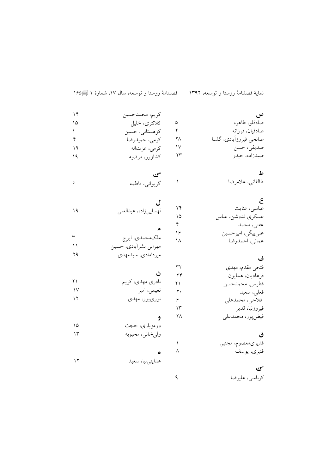| ۱۴     | كريم، محمدحسين        |    | ص                      |
|--------|-----------------------|----|------------------------|
| ۱۵     | كلانترى، خليل         | ۵  | صادقلو، طاهره          |
| ١      | كوهستاني، حسين        | ٢  | صادقيان، فرزانه        |
| ۴      | كرمي، حميدرضا         | ۲۸ | صالحي فيروزآبادي، گلسا |
| ۱۹     | كرمى، عزتاله          | ۱۷ | صديقى، حسن             |
| ۱۹     | كشاورز، مرضيه         | ۲۳ | صيدزاده، حيدر          |
|        | محی                   |    | ط                      |
| ۶      | گريواني، فاطمه        |    | طالقاني، غلامرضا       |
|        |                       |    | ع                      |
| ۱۹     | لهسايي زاده، عبدالعلي | ۲۴ | عباسی، عنایت           |
|        |                       | ۱۵ | عسکری ندوشن، عباس      |
|        |                       | ۴  | عفتي، محمد             |
| ٣      | ملکەمحمدى، ايرج       | ۱۶ | علي بيگي، امير حسين    |
| ۱۱     | مهرابي بشرآبادي، حسين | ۱۸ | عماني، احمدرضا         |
| ۲۹     | ميردامادي، سيدمهدي    |    |                        |
|        |                       |    | ف                      |
|        |                       | ٣٢ | فتحى مقدم، مهدى        |
|        | ن                     | ۲۴ | فرهاديان، همايون       |
| ۲۱     | نادري مهدي، كريم      | ۲۱ | فطرس، محمدحسن          |
| $\vee$ | نعیمی، امیر           | ٢٠ | فعلى، سعيد             |
| ۱۲     | نوريپور، مهدي         | ۶  | فلاحي، محمدعلي         |
|        |                       | ۱۳ | فيروزنيا، قدير         |
|        | و                     | ۲۸ | فيض پور، محمدعلي       |
| ۱۵     | ورمزياري، حجت         |    |                        |
| ۱۳     | ولىخانى، محبوبه       |    | ق                      |
|        |                       | ١  | قديري معصوم، مجتبي     |
|        | ٥                     | ٨  | قنبري، يوسف            |
| ۱۲     | هدايتي نيا، سعيد      |    |                        |
|        |                       |    | كى                     |
|        |                       | ٩  | كرباسي، عليرضا         |

نماية فصلنامة روستا و توسعه، ١٣٩٢ فصلنامة روستا و توسعه، سال ١٧، شمارة ١ [168]